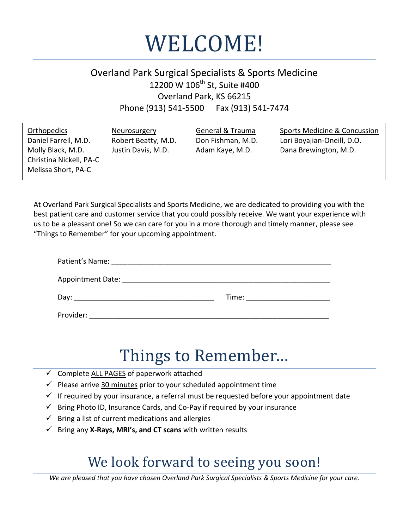

# Overland Park Surgical Specialists & Sports Medicine 12200 W 106<sup>th</sup> St, Suite #400 Overland Park, KS 66215 Phone (913) 541-5500 Fax (913) 541-7474

At Overland Park Surgical Specialists and Sports Medicine, we are dedicated to providing you with the best patient care and customer service that you could possibly receive. We want your experience with us to be a pleasant one! So we can care for you in a more thorough and timely manner, please see "Things to Remember" for your upcoming appointment.

| Patient's Name:          |       |
|--------------------------|-------|
| <b>Appointment Date:</b> |       |
| Day:                     | Time: |
| Provider:                |       |

# Things to Remember…

- $\checkmark$  Complete ALL PAGES of paperwork attached
- $\checkmark$  Please arrive 30 minutes prior to your scheduled appointment time
- $\checkmark$  If required by your insurance, a referral must be requested before your appointment date
- $\checkmark$  Bring Photo ID, Insurance Cards, and Co-Pay if required by your insurance
- $\checkmark$  Bring a list of current medications and allergies
- Bring any **X-Rays, MRI's, and CT scans** with written results

# We look forward to seeing you soon!

*We are pleased that you have chosen Overland Park Surgical Specialists & Sports Medicine for your care.*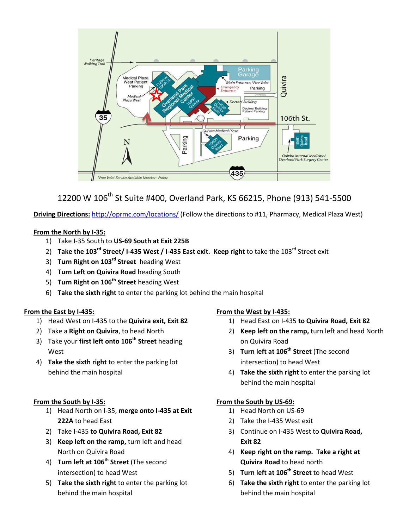

# 12200 W 106<sup>th</sup> St Suite #400, Overland Park, KS 66215, Phone (913) 541-5500

**Driving Directions:** <http://oprmc.com/locations/>(Follow the directions to #11, Pharmacy, Medical Plaza West)

### **From the North by I-35:**

- 1) Take I-35 South to **US-69 South at Exit 225B**
- 2) **Take the 103rd Street/ I-435 West / I-435 East exit. Keep right** to take the 103rd Street exit
- 3) **Turn Right on 103rd Street** heading West
- 4) **Turn Left on Quivira Road** heading South
- 5) **Turn Right on 106th Street** heading West
- 6) **Take the sixth right** to enter the parking lot behind the main hospital

# **From the East by I-435:**

- 1) Head West on I-435 to the **Quivira exit, Exit 82**
- 2) Take a **Right on Quivira**, to head North
- 3) Take your **first left onto 106th Street** heading West
- 4) **Take the sixth right** to enter the parking lot behind the main hospital

# **From the South by I-35:**

- 1) Head North on I-35, **merge onto I-435 at Exit 222A** to head East
- 2) Take I-435 **to Quivira Road, Exit 82**
- 3) **Keep left on the ramp,** turn left and head North on Quivira Road
- 4) **Turn left at 106th Street** (The second intersection) to head West
- 5) **Take the sixth right** to enter the parking lot behind the main hospital

# **From the West by I-435:**

- 1) Head East on I-435 **to Quivira Road, Exit 82**
- 2) **Keep left on the ramp,** turn left and head North on Quivira Road
- 3) **Turn left at 106th Street** (The second intersection) to head West
- 4) **Take the sixth right** to enter the parking lot behind the main hospital

# **From the South by US-69:**

- 1) Head North on US-69
- 2) Take the I-435 West exit
- 3) Continue on I-435 West to **Quivira Road, Exit 82**
- 4) **Keep right on the ramp. Take a right at Quivira Road** to head north
- 5) **Turn left at 106th Street** to head West
- 6) **Take the sixth right** to enter the parking lot behind the main hospital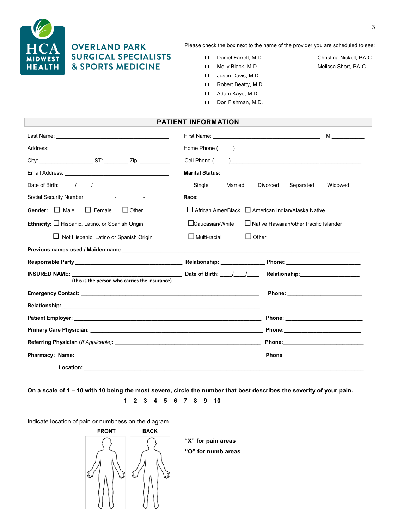

# **OVERLAND PARK SURGICAL SPECIALISTS & SPORTS MEDICINE**

Please check the box next to the name of the provider you are scheduled to see:

- □ Daniel Farrell, M.D. □ Christina Nickell, PA-C
- □ Molly Black, M.D. □ Melissa Short, PA-C
- □ Justin Davis, M.D.
- Robert Beatty, M.D.
- Adam Kaye, M.D.
- Don Fishman, M.D.

#### **PATIENT INFORMATION**

|                                                                                                                                                                                                                                                                                                                                                                                                                   |                                                                |                                                                                                                                                                                                                                     | MI and the state of the state of the state of the state of the state of the state of the state of the state of |
|-------------------------------------------------------------------------------------------------------------------------------------------------------------------------------------------------------------------------------------------------------------------------------------------------------------------------------------------------------------------------------------------------------------------|----------------------------------------------------------------|-------------------------------------------------------------------------------------------------------------------------------------------------------------------------------------------------------------------------------------|----------------------------------------------------------------------------------------------------------------|
|                                                                                                                                                                                                                                                                                                                                                                                                                   |                                                                |                                                                                                                                                                                                                                     |                                                                                                                |
|                                                                                                                                                                                                                                                                                                                                                                                                                   | Home Phone (                                                   |                                                                                                                                                                                                                                     |                                                                                                                |
| City: <u>ST:</u> Zip:                                                                                                                                                                                                                                                                                                                                                                                             | Cell Phone (                                                   |                                                                                                                                                                                                                                     |                                                                                                                |
|                                                                                                                                                                                                                                                                                                                                                                                                                   | <b>Marital Status:</b>                                         |                                                                                                                                                                                                                                     |                                                                                                                |
| Date of Birth: $\frac{1}{\sqrt{1-\frac{1}{2}}}\frac{1}{\sqrt{1-\frac{1}{2}}}\frac{1}{\sqrt{1-\frac{1}{2}}}\frac{1}{\sqrt{1-\frac{1}{2}}}\frac{1}{\sqrt{1-\frac{1}{2}}}\frac{1}{\sqrt{1-\frac{1}{2}}}\frac{1}{\sqrt{1-\frac{1}{2}}}\frac{1}{\sqrt{1-\frac{1}{2}}}\frac{1}{\sqrt{1-\frac{1}{2}}}\frac{1}{\sqrt{1-\frac{1}{2}}}\frac{1}{\sqrt{1-\frac{1}{2}}}\frac{1}{\sqrt{1-\frac{1}{2}}}\frac{1}{\sqrt{1-\frac{1$ | Single<br>Married                                              | Divorced<br>Separated                                                                                                                                                                                                               | Widowed                                                                                                        |
|                                                                                                                                                                                                                                                                                                                                                                                                                   | Race:                                                          |                                                                                                                                                                                                                                     |                                                                                                                |
| Gender: $\Box$ Male<br>$\Box$ Female<br>$\Box$ Other                                                                                                                                                                                                                                                                                                                                                              | $\Box$ African Amer/Black $\Box$ American Indian/Alaska Native |                                                                                                                                                                                                                                     |                                                                                                                |
| Ethnicity: $\Box$ Hispanic, Latino, or Spanish Origin                                                                                                                                                                                                                                                                                                                                                             | $\Box$ Caucasian/White                                         | $\Box$ Native Hawaiian/other Pacific Islander                                                                                                                                                                                       |                                                                                                                |
| $\Box$ Not Hispanic, Latino or Spanish Origin                                                                                                                                                                                                                                                                                                                                                                     | $\Box$ Multi-racial                                            |                                                                                                                                                                                                                                     |                                                                                                                |
|                                                                                                                                                                                                                                                                                                                                                                                                                   |                                                                |                                                                                                                                                                                                                                     |                                                                                                                |
|                                                                                                                                                                                                                                                                                                                                                                                                                   |                                                                |                                                                                                                                                                                                                                     |                                                                                                                |
| <b>INSURED NAME:</b><br>(this is the person who carries the insurance)                                                                                                                                                                                                                                                                                                                                            |                                                                | Relationship: the control of the control of the control of the control of the control of the control of the co                                                                                                                      |                                                                                                                |
| Emergency Contact: the control of the control of the control of the control of the control of the control of the control of the control of the control of the control of the control of the control of the control of the cont                                                                                                                                                                                    |                                                                | <b>Phone:</b> The contract of the contract of the contract of the contract of the contract of the contract of the contract of the contract of the contract of the contract of the contract of the contract of the contract of the c |                                                                                                                |
|                                                                                                                                                                                                                                                                                                                                                                                                                   |                                                                |                                                                                                                                                                                                                                     |                                                                                                                |
|                                                                                                                                                                                                                                                                                                                                                                                                                   |                                                                |                                                                                                                                                                                                                                     |                                                                                                                |
|                                                                                                                                                                                                                                                                                                                                                                                                                   |                                                                |                                                                                                                                                                                                                                     |                                                                                                                |
|                                                                                                                                                                                                                                                                                                                                                                                                                   |                                                                |                                                                                                                                                                                                                                     |                                                                                                                |
|                                                                                                                                                                                                                                                                                                                                                                                                                   |                                                                | Phone: ____________________________                                                                                                                                                                                                 |                                                                                                                |
| Location:                                                                                                                                                                                                                                                                                                                                                                                                         |                                                                |                                                                                                                                                                                                                                     |                                                                                                                |

**On a scale of 1 – 10 with 10 being the most severe, circle the number that best describes the severity of your pain.** 

**1 2 3 4 5 6 7 8 9 10** 

Indicate location of pain or numbness on the diagram.



**"X" for pain areas "O" for numb areas**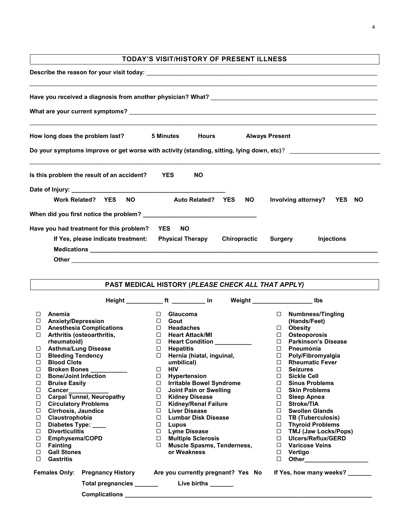|                                                                                                                | <b>TODAY'S VISIT/HISTORY OF PRESENT ILLNESS</b> |                     |                              |
|----------------------------------------------------------------------------------------------------------------|-------------------------------------------------|---------------------|------------------------------|
|                                                                                                                |                                                 |                     |                              |
|                                                                                                                |                                                 |                     |                              |
|                                                                                                                |                                                 |                     |                              |
| How long does the problem last? 5 Minutes                                                                      |                                                 | <b>Hours</b>        | <b>Always Present</b>        |
| Do your symptoms improve or get worse with activity (standing, sitting, lying down, etc)? ____________________ |                                                 |                     |                              |
|                                                                                                                |                                                 |                     |                              |
|                                                                                                                | <b>YES</b><br><b>NO</b>                         |                     |                              |
|                                                                                                                |                                                 |                     |                              |
| <b>Work Related? YES</b><br><b>NO</b>                                                                          | Auto Related? YES                               | NO.                 | Involving attorney? YES NO   |
| Is this problem the result of an accident?                                                                     |                                                 |                     |                              |
|                                                                                                                | <b>YES</b><br><b>NO</b>                         |                     |                              |
| If Yes, please indicate treatment: Physical Therapy                                                            |                                                 | <b>Chiropractic</b> | <b>Injections</b><br>Surgery |
| Have you had treatment for this problem?                                                                       |                                                 |                     |                              |

|        | PAST MEDICAL HISTORY (PLEASE CHECK ALL THAT APPLY) |                                                                                                   |                                      |  |
|--------|----------------------------------------------------|---------------------------------------------------------------------------------------------------|--------------------------------------|--|
|        |                                                    | Height _____________ ft ___________ in                                                            | Weight _________________________ lbs |  |
| □      | Anemia                                             | <b>Glaucoma</b><br>□                                                                              | <b>Numbness/Tingling</b><br>$\Box$   |  |
| □      | <b>Anxiety/Depression</b>                          | $\Box$<br>Gout                                                                                    | (Hands/Feet)                         |  |
| $\Box$ | <b>Anesthesia Complications</b>                    | $\Box$ Headaches                                                                                  | $\Box$<br><b>Obesity</b>             |  |
| □      | Arthritis (osteoarthritis,                         | $\Box$<br><b>Heart Attack/MI</b>                                                                  | Osteoporosis<br>$\Box$               |  |
|        | rheumatoid)                                        | Heart Condition __________<br>$\Box$                                                              | $\Box$<br><b>Parkinson's Disease</b> |  |
| $\Box$ | <b>Asthma/Lung Disease</b>                         | $\Box$<br><b>Hepatitis</b>                                                                        | $\Box$<br><b>Pneumonia</b>           |  |
| □      | <b>Bleeding Tendency</b>                           | Hernia (hiatal, inguinal,<br>$\Box$                                                               | Poly/Fibromyalgia<br>$\Box$          |  |
| □      | <b>Blood Clots</b>                                 | umbilical)                                                                                        | <b>Rheumatic Fever</b><br>$\Box$     |  |
| □      | Broken Bones                                       | $\Box$<br><b>HIV</b>                                                                              | $\Box$<br><b>Seizures</b>            |  |
| □      | <b>Bone/Joint Infection</b>                        | Hypertension<br>$\Box$                                                                            | <b>Sickle Cell</b><br>$\Box$         |  |
| □      | <b>Bruise Easily</b>                               | <b>Irritable Bowel Syndrome</b><br>$\Box$                                                         | <b>Sinus Problems</b><br>$\Box$      |  |
| □      | Cancer__________                                   | $\Box$<br>Joint Pain or Swelling                                                                  | $\Box$<br><b>Skin Problems</b>       |  |
| □      | <b>Carpal Tunnel, Neuropathy</b>                   | <b>Kidney Disease</b><br>$\Box$                                                                   | <b>Sleep Apnea</b><br>$\Box$         |  |
| □      | <b>Circulatory Problems</b>                        | <b>Kidney/Renal Failure</b><br>$\Box$                                                             | <b>Stroke/TIA</b><br>$\Box$          |  |
| □      | Cirrhosis, Jaundice                                | Liver Disease<br>$\Box$                                                                           | $\Box$<br><b>Swollen Glands</b>      |  |
| □      | Claustrophobia                                     | <b>Lumbar Disk Disease</b><br>$\Box$                                                              | $\Box$<br>TB (Tuberculosis)          |  |
| □      | Diabetes Type: ___                                 | $\Box$<br>Lupus                                                                                   | □ Thyroid Problems                   |  |
| □      | <b>Diverticulitis</b>                              | <b>Lyme Disease</b><br>$\Box$                                                                     | □ TMJ (Jaw Locks/Pops)               |  |
| □      | Emphysema/COPD                                     | <b>Multiple Sclerosis</b><br>$\Box$                                                               | Ulcers/Reflux/GERD<br>$\Box$         |  |
| □      | <b>Fainting</b>                                    | $\Box$<br><b>Muscle Spasms, Tenderness,</b>                                                       | $\Box$ Varicose Veins                |  |
| □      | <b>Gall Stones</b>                                 | or Weakness                                                                                       | $\Box$ Vertigo                       |  |
| □      | <b>Gastritis</b>                                   |                                                                                                   | □                                    |  |
|        |                                                    | Females Only: Pregnancy History Are you currently pregnant? Yes No If Yes, how many weeks? ______ |                                      |  |
|        |                                                    |                                                                                                   |                                      |  |
|        | <b>Complications</b>                               |                                                                                                   |                                      |  |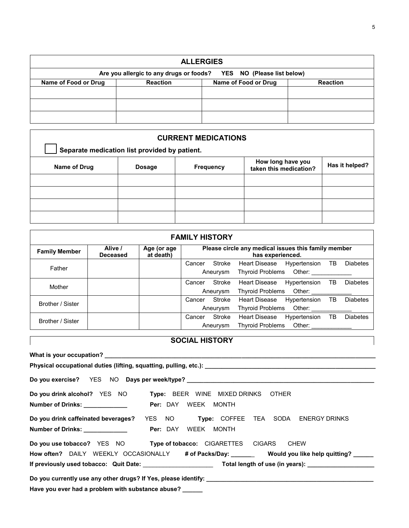| <b>ALLERGIES</b>                                                   |                 |                      |                 |
|--------------------------------------------------------------------|-----------------|----------------------|-----------------|
| Are you allergic to any drugs or foods? YES NO (Please list below) |                 |                      |                 |
| Name of Food or Drug                                               | <b>Reaction</b> | Name of Food or Drug | <b>Reaction</b> |
|                                                                    |                 |                      |                 |
|                                                                    |                 |                      |                 |
|                                                                    |                 |                      |                 |

| <b>CURRENT MEDICATIONS</b> |                                               |                  |                                             |                |
|----------------------------|-----------------------------------------------|------------------|---------------------------------------------|----------------|
|                            | Separate medication list provided by patient. |                  |                                             |                |
| Name of Drug               | <b>Dosage</b>                                 | <b>Frequency</b> | How long have you<br>taken this medication? | Has it helped? |
|                            |                                               |                  |                                             |                |
|                            |                                               |                  |                                             |                |
|                            |                                               |                  |                                             |                |
|                            |                                               |                  |                                             |                |

| <b>FAMILY HISTORY</b> |                            |                          |        |                                                                         |                         |              |    |                 |
|-----------------------|----------------------------|--------------------------|--------|-------------------------------------------------------------------------|-------------------------|--------------|----|-----------------|
| <b>Family Member</b>  | Alive /<br><b>Deceased</b> | Age (or age<br>at death) |        | Please circle any medical issues this family member<br>has experienced. |                         |              |    |                 |
|                       |                            |                          | Cancer | Stroke                                                                  | <b>Heart Disease</b>    | Hypertension | ТB | <b>Diabetes</b> |
| Father                |                            |                          |        | Aneurysm                                                                | <b>Thyroid Problems</b> | Other:       |    |                 |
| Mother                |                            |                          | Cancer | Stroke                                                                  | <b>Heart Disease</b>    | Hypertension | ТB | <b>Diabetes</b> |
|                       |                            |                          |        | Aneurysm                                                                | <b>Thyroid Problems</b> | Other:       |    |                 |
| Brother / Sister      |                            |                          | Cancer | Stroke                                                                  | <b>Heart Disease</b>    | Hypertension | TB | <b>Diabetes</b> |
|                       |                            |                          |        | Aneurysm                                                                | <b>Thyroid Problems</b> | Other:       |    |                 |
| Brother / Sister      |                            |                          | Cancer | Stroke                                                                  | <b>Heart Disease</b>    | Hypertension | TВ | <b>Diabetes</b> |
|                       |                            |                          |        | Aneurysm                                                                | <b>Thyroid Problems</b> | Other:       |    |                 |

| <b>SOCIAL HISTORY</b>                                                                                                            |  |  |  |
|----------------------------------------------------------------------------------------------------------------------------------|--|--|--|
|                                                                                                                                  |  |  |  |
|                                                                                                                                  |  |  |  |
|                                                                                                                                  |  |  |  |
| Do you drink alcohol? YES NO Type: BEER WINE MIXED DRINKS OTHER<br><b>Per: DAY WEEK MONTH</b><br>Number of Drinks: _____________ |  |  |  |
| Do you drink caffeinated beverages? YES NO Type: COFFEE TEA SODA ENERGY DRINKS                                                   |  |  |  |
| Do you use tobacco? YES NO Type of tobacco: CIGARETTES CIGARS CHEW                                                               |  |  |  |
| How often? DAILY WEEKLY OCCASIONALLY # of Packs/Day: _______ Would you like help quitting? _____                                 |  |  |  |
|                                                                                                                                  |  |  |  |
| Have you ever had a problem with substance abuse?                                                                                |  |  |  |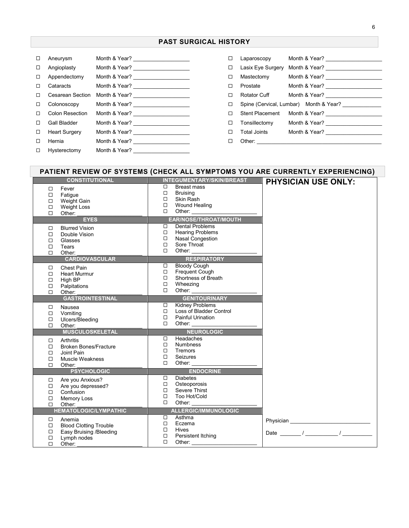### **PAST SURGICAL HISTORY**

| ப | Aneurysm             |               |
|---|----------------------|---------------|
| □ | Angioplasty          |               |
| □ | Appendectomy         |               |
| п | Cataracts            |               |
| п | Cesarean Section     |               |
| □ | Colonoscopy          |               |
| п | Colon Resection      |               |
| 0 | Gall Bladder         |               |
| □ | <b>Heart Surgery</b> |               |
| П | Hernia               |               |
| ◻ | Hysterectomy         | Month & Year? |

|   | Laparoscopy            |  |                                                       |
|---|------------------------|--|-------------------------------------------------------|
| □ | Lasix Eye Surgery      |  | Month & Year?                                         |
| ◻ | Mastectomy             |  |                                                       |
| п | Prostate               |  |                                                       |
| П | Rotator Cuff           |  |                                                       |
| □ |                        |  | Spine (Cervical, Lumbar) Month & Year? ______________ |
| 0 | <b>Stent Placement</b> |  |                                                       |
| □ | Tonsillectomy          |  |                                                       |
| п | Total Joints           |  | Month & Year?                                         |
|   | Other:                 |  |                                                       |

# **PATIENT REVIEW OF SYSTEMS (CHECK ALL SYMPTOMS YOU ARE CURRENTLY EXPERIENCING)**

| <b>CONSTITUTIONAL</b>                                                                                                                                      | INTEGUMENTARY/SKIN/BREAST                                                                                                                                                                                                                                                                                                                     | <b>PHYSICIAN USE ONLY:</b>                                |
|------------------------------------------------------------------------------------------------------------------------------------------------------------|-----------------------------------------------------------------------------------------------------------------------------------------------------------------------------------------------------------------------------------------------------------------------------------------------------------------------------------------------|-----------------------------------------------------------|
| $\Box$<br>Fever<br>$\Box$<br>Fatigue<br>Weight Gain<br>$\Box$<br>$\Box$<br><b>Weight Loss</b><br>$\Box$<br>Other:                                          | Breast mass<br>□<br><b>Bruising</b><br>$\Box$<br>Skin Rash<br>$\Box$<br>Wound Healing<br>$\Box$<br>$\Box$                                                                                                                                                                                                                                     |                                                           |
| <b>EYES</b>                                                                                                                                                | <b>EAR/NOSE/THROAT/MOUTH</b>                                                                                                                                                                                                                                                                                                                  |                                                           |
| <b>Blurred Vision</b><br>$\Box$<br>$\Box$<br>Double Vision<br>$\Box$<br>Glasses<br>$\Box$<br>Tears<br>$\Box$<br>Other:<br><b>CARDIOVASCULAR</b>            | Dental Problems<br>$\Box$<br><b>Hearing Problems</b><br>$\Box$<br>$\Box$<br><b>Nasal Congestion</b><br>Sore Throat<br>$\Box$<br>$\Box$<br>Other:                                                                                                                                                                                              |                                                           |
|                                                                                                                                                            | <b>RESPIRATORY</b><br><b>Bloody Cough</b><br>$\Box$                                                                                                                                                                                                                                                                                           |                                                           |
| $\Box$<br><b>Chest Pain</b><br><b>Heart Murmur</b><br>$\Box$<br>$\Box$<br>High BP<br>Palpitations<br>$\Box$<br>$\Box$<br>Other:<br><b>GASTROINTESTINAL</b> | Frequent Cough<br>$\Box$<br>$\Box$<br>Shortness of Breath<br>$\Box$<br>Wheezing<br>Other:<br>$\Box$<br><b>GENITOURINARY</b>                                                                                                                                                                                                                   |                                                           |
|                                                                                                                                                            | <b>Kidney Problems</b><br>$\Box$                                                                                                                                                                                                                                                                                                              |                                                           |
| Nausea<br>□<br>$\Box$<br>Vomiting<br>$\Box$<br>Ulcers/Bleeding<br>$\Box$<br>Other:                                                                         | $\Box$<br>Loss of Bladder Control<br>$\Box$<br><b>Painful Urination</b><br>$\Box$<br>Other:                                                                                                                                                                                                                                                   |                                                           |
| <b>MUSCULOSKELETAL</b>                                                                                                                                     | <b>NEUROLOGIC</b>                                                                                                                                                                                                                                                                                                                             |                                                           |
| Arthritis<br>□<br><b>Broken Bones/Fracture</b><br>$\Box$<br>$\Box$<br>Joint Pain<br><b>Muscle Weakness</b><br>$\Box$<br>$\Box$<br>Other:                   | Headaches<br>$\Box$<br><b>Numbness</b><br>$\Box$<br>$\Box$<br>Tremors<br>$\Box$<br>Seizures<br>$\Box$<br>Other: <b>William Communist Communist Communist Communist Communist Communist Communist Communist Communist Communist Communist Communist Communist Communist Communist Communist Communist Communist Communist Communist Commun</b> |                                                           |
| <b>PSYCHOLOGIC</b>                                                                                                                                         | <b>ENDOCRINE</b>                                                                                                                                                                                                                                                                                                                              |                                                           |
| Are you Anxious?<br>$\Box$<br>$\Box$<br>Are you depressed?<br>$\Box$<br>Confusion<br>$\Box$<br>Memory Loss<br>$\Box$<br>Other:                             | <b>Diabetes</b><br>□<br>$\Box$<br>Osteoporosis<br>Severe Thirst<br>$\Box$<br>$\Box$<br>Too Hot/Cold<br>□<br>Other:                                                                                                                                                                                                                            |                                                           |
| <b>HEMATOLOGIC/LYMPATHIC</b>                                                                                                                               | <b>ALLERGIC/IMMUNOLOGIC</b>                                                                                                                                                                                                                                                                                                                   |                                                           |
| Anemia<br>$\Box$<br>$\Box$<br><b>Blood Clotting Trouble</b><br>Easy Bruising /Bleeding<br>$\Box$<br>$\Box$<br>Lymph nodes<br>$\Box$<br>Other:              | Asthma<br>$\Box$<br>$\Box$<br>Eczema<br>$\Box$<br><b>Hives</b><br>$\Box$<br>Persistent Itching<br>$\Box$<br>Other:                                                                                                                                                                                                                            | Date $\frac{1}{\sqrt{1-\frac{1}{2}}}\sqrt{1-\frac{1}{2}}$ |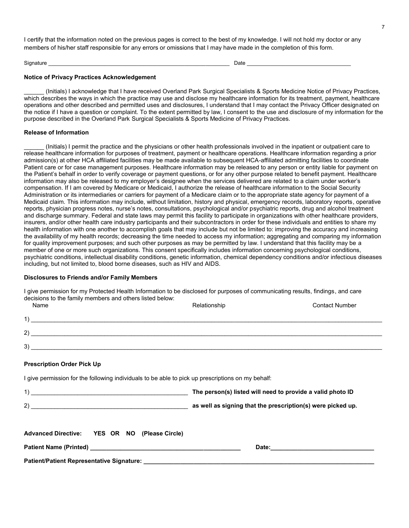I certify that the information noted on the previous pages is correct to the best of my knowledge. I will not hold my doctor or any members of his/her staff responsible for any errors or omissions that I may have made in the completion of this form.

Signature **Example 2** and the set of the set of the set of the set of the set of the set of the set of the set of the set of the set of the set of the set of the set of the set of the set of the set of the set of the set o

#### **Notice of Privacy Practices Acknowledgement**

\_\_\_\_\_\_ (Initials) I acknowledge that I have received Overland Park Surgical Specialists & Sports Medicine Notice of Privacy Practices, which describes the ways in which the practice may use and disclose my healthcare information for its treatment, payment, healthcare operations and other described and permitted uses and disclosures, I understand that I may contact the Privacy Officer designated on the notice if I have a question or complaint. To the extent permitted by law, I consent to the use and disclosure of my information for the purpose described in the Overland Park Surgical Specialists & Sports Medicine of Privacy Practices.

#### **Release of Information**

\_\_\_\_\_\_ (Initials) I permit the practice and the physicians or other health professionals involved in the inpatient or outpatient care to release healthcare information for purposes of treatment, payment or healthcare operations. Healthcare information regarding a prior admission(s) at other HCA affiliated facilities may be made available to subsequent HCA-affiliated admitting facilities to coordinate Patient care or for case management purposes. Healthcare information may be released to any person or entity liable for payment on the Patient's behalf in order to verify coverage or payment questions, or for any other purpose related to benefit payment. Healthcare information may also be released to my employer's designee when the services delivered are related to a claim under worker's compensation. If I am covered by Medicare or Medicaid, I authorize the release of healthcare information to the Social Security Administration or its intermediaries or carriers for payment of a Medicare claim or to the appropriate state agency for payment of a Medicaid claim. This information may include, without limitation, history and physical, emergency records, laboratory reports, operative reports, physician progress notes, nurse's notes, consultations, psychological and/or psychiatric reports, drug and alcohol treatment and discharge summary. Federal and state laws may permit this facility to participate in organizations with other healthcare providers, insurers, and/or other health care industry participants and their subcontractors in order for these individuals and entities to share my health information with one another to accomplish goals that may include but not be limited to: improving the accuracy and increasing the availability of my health records; decreasing the time needed to access my information; aggregating and comparing my information for quality improvement purposes; and such other purposes as may be permitted by law. I understand that this facility may be a member of one or more such organizations. This consent specifically includes information concerning psychological conditions, psychiatric conditions, intellectual disability conditions, genetic information, chemical dependency conditions and/or infectious diseases including, but not limited to, blood borne diseases, such as HIV and AIDS.

#### **Disclosures to Friends and/or Family Members**

I give permission for my Protected Health Information to be disclosed for purposes of communicating results, findings, and care decisions to the family members and others listed below:

| Name                                                                                              | Relationship                                               | <b>Contact Number</b> |
|---------------------------------------------------------------------------------------------------|------------------------------------------------------------|-----------------------|
| $\overline{1}$ )                                                                                  |                                                            |                       |
| $2)$ $\overline{\phantom{a}}$                                                                     |                                                            |                       |
| $3)$ $\overline{\phantom{a}}$                                                                     |                                                            |                       |
| <b>Prescription Order Pick Up</b>                                                                 |                                                            |                       |
| I give permission for the following individuals to be able to pick up prescriptions on my behalf: |                                                            |                       |
|                                                                                                   | The person(s) listed will need to provide a valid photo ID |                       |
|                                                                                                   |                                                            |                       |
| Advanced Directive: YES OR NO (Please Circle)                                                     |                                                            |                       |
|                                                                                                   |                                                            |                       |
|                                                                                                   |                                                            |                       |